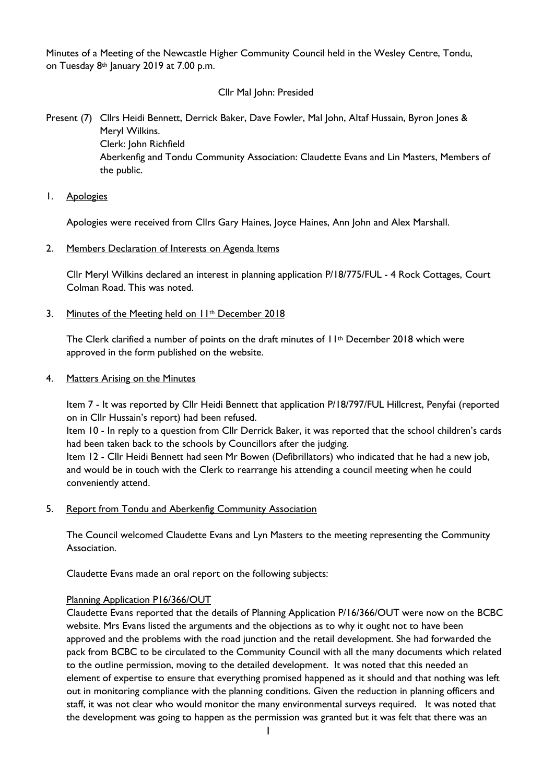Minutes of a Meeting of the Newcastle Higher Community Council held in the Wesley Centre, Tondu, on Tuesday 8<sup>th</sup> January 2019 at 7.00 p.m.

## Cllr Mal John: Presided

Present (7) Cllrs Heidi Bennett, Derrick Baker, Dave Fowler, Mal John, Altaf Hussain, Byron Jones & Meryl Wilkins. Clerk: John Richfield Aberkenfig and Tondu Community Association: Claudette Evans and Lin Masters, Members of the public.

1. Apologies

Apologies were received from Cllrs Gary Haines, Joyce Haines, Ann John and Alex Marshall.

2. Members Declaration of Interests on Agenda Items

Cllr Meryl Wilkins declared an interest in planning application P/18/775/FUL - 4 Rock Cottages, Court Colman Road. This was noted.

3. Minutes of the Meeting held on 11<sup>th</sup> December 2018

The Clerk clarified a number of points on the draft minutes of 11<sup>th</sup> December 2018 which were approved in the form published on the website.

4. Matters Arising on the Minutes

Item 7 - It was reported by Cllr Heidi Bennett that application P/18/797/FUL Hillcrest, Penyfai (reported on in Cllr Hussain's report) had been refused.

Item 10 - In reply to a question from Cllr Derrick Baker, it was reported that the school children's cards had been taken back to the schools by Councillors after the judging.

Item 12 - Cllr Heidi Bennett had seen Mr Bowen (Defibrillators) who indicated that he had a new job, and would be in touch with the Clerk to rearrange his attending a council meeting when he could conveniently attend.

5. Report from Tondu and Aberkenfig Community Association

The Council welcomed Claudette Evans and Lyn Masters to the meeting representing the Community Association.

Claudette Evans made an oral report on the following subjects:

# Planning Application P16/366/OUT

Claudette Evans reported that the details of Planning Application P/16/366/OUT were now on the BCBC website. Mrs Evans listed the arguments and the objections as to why it ought not to have been approved and the problems with the road junction and the retail development. She had forwarded the pack from BCBC to be circulated to the Community Council with all the many documents which related to the outline permission, moving to the detailed development. It was noted that this needed an element of expertise to ensure that everything promised happened as it should and that nothing was left out in monitoring compliance with the planning conditions. Given the reduction in planning officers and staff, it was not clear who would monitor the many environmental surveys required. It was noted that the development was going to happen as the permission was granted but it was felt that there was an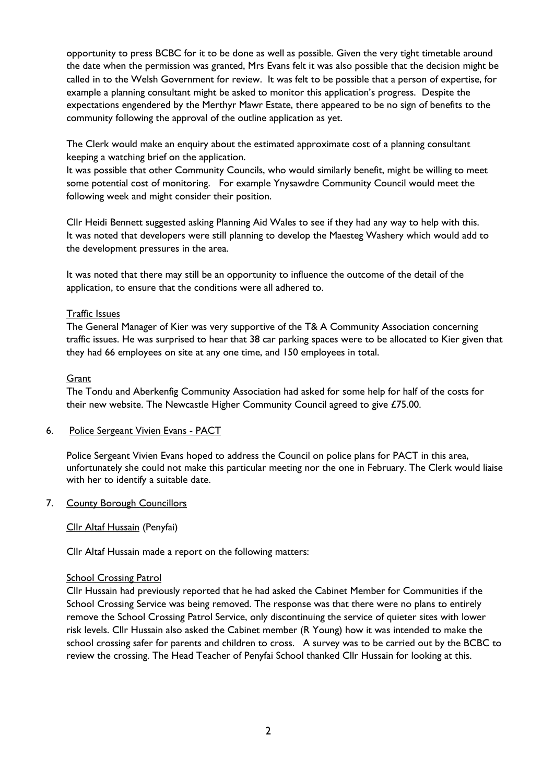opportunity to press BCBC for it to be done as well as possible. Given the very tight timetable around the date when the permission was granted, Mrs Evans felt it was also possible that the decision might be called in to the Welsh Government for review. It was felt to be possible that a person of expertise, for example a planning consultant might be asked to monitor this application's progress. Despite the expectations engendered by the Merthyr Mawr Estate, there appeared to be no sign of benefits to the community following the approval of the outline application as yet.

The Clerk would make an enquiry about the estimated approximate cost of a planning consultant keeping a watching brief on the application.

It was possible that other Community Councils, who would similarly benefit, might be willing to meet some potential cost of monitoring. For example Ynysawdre Community Council would meet the following week and might consider their position.

Cllr Heidi Bennett suggested asking Planning Aid Wales to see if they had any way to help with this. It was noted that developers were still planning to develop the Maesteg Washery which would add to the development pressures in the area.

It was noted that there may still be an opportunity to influence the outcome of the detail of the application, to ensure that the conditions were all adhered to.

## Traffic Issues

The General Manager of Kier was very supportive of the T& A Community Association concerning traffic issues. He was surprised to hear that 38 car parking spaces were to be allocated to Kier given that they had 66 employees on site at any one time, and 150 employees in total.

## Grant

The Tondu and Aberkenfig Community Association had asked for some help for half of the costs for their new website. The Newcastle Higher Community Council agreed to give £75.00.

# 6. Police Sergeant Vivien Evans - PACT

Police Sergeant Vivien Evans hoped to address the Council on police plans for PACT in this area, unfortunately she could not make this particular meeting nor the one in February. The Clerk would liaise with her to identify a suitable date.

#### 7. County Borough Councillors

# Cllr Altaf Hussain (Penyfai)

Cllr Altaf Hussain made a report on the following matters:

#### School Crossing Patrol

Cllr Hussain had previously reported that he had asked the Cabinet Member for Communities if the School Crossing Service was being removed. The response was that there were no plans to entirely remove the School Crossing Patrol Service, only discontinuing the service of quieter sites with lower risk levels. Cllr Hussain also asked the Cabinet member (R Young) how it was intended to make the school crossing safer for parents and children to cross. A survey was to be carried out by the BCBC to review the crossing. The Head Teacher of Penyfai School thanked Cllr Hussain for looking at this.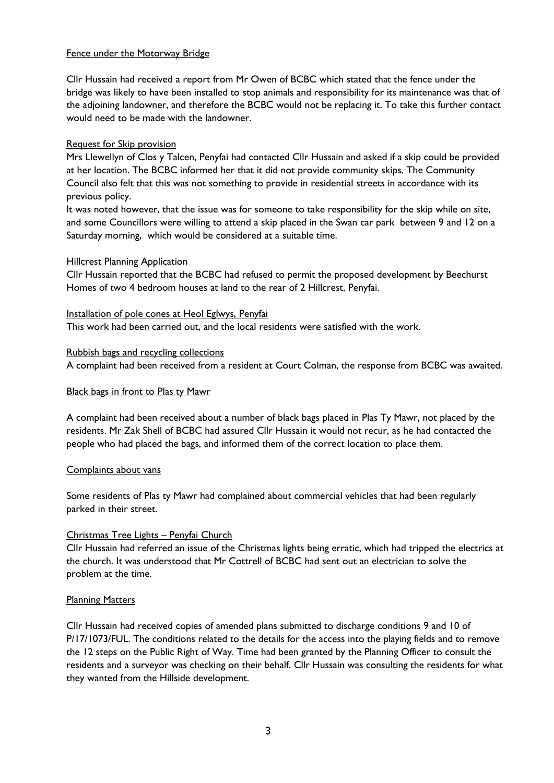## Fence under the Motorway Bridge

Cllr Hussain had received a report from Mr Owen of BCBC which stated that the fence under the bridge was likely to have been installed to stop animals and responsibility for its maintenance was that of the adjoining landowner, and therefore the BCBC would not be replacing it. To take this further contact would need to be made with the landowner.

# Request for Skip provision

Mrs Llewellyn of Clos y Talcen, Penyfai had contacted Cllr Hussain and asked if a skip could be provided at her location. The BCBC informed her that it did not provide community skips. The Community Council also felt that this was not something to provide in residential streets in accordance with its previous policy.

It was noted however, that the issue was for someone to take responsibility for the skip while on site, and some Councillors were willing to attend a skip placed in the Swan car park between 9 and 12 on a Saturday morning, which would be considered at a suitable time.

## **Hillcrest Planning Application**

Cllr Hussain reported that the BCBC had refused to permit the proposed development by Beechurst Homes of two 4 bedroom houses at land to the rear of 2 Hillcrest, Penyfai.

Installation of pole cones at Heol Eglwys, Penyfai

This work had been carried out, and the local residents were satisfied with the work.

## Rubbish bags and recycling collections

A complaint had been received from a resident at Court Colman, the response from BCBC was awaited.

#### Black bags in front to Plas ty Mawr

A complaint had been received about a number of black bags placed in Plas Ty Mawr, not placed by the residents. Mr Zak Shell of BCBC had assured Cllr Hussain it would not recur, as he had contacted the people who had placed the bags, and informed them of the correct location to place them.

#### Complaints about vans

Some residents of Plas ty Mawr had complained about commercial vehicles that had been regularly parked in their street.

# Christmas Tree Lights – Penyfai Church

Cllr Hussain had referred an issue of the Christmas lights being erratic, which had tripped the electrics at the church. It was understood that Mr Cottrell of BCBC had sent out an electrician to solve the problem at the time.

# Planning Matters

Cllr Hussain had received copies of amended plans submitted to discharge conditions 9 and 10 of P/17/1073/FUL. The conditions related to the details for the access into the playing fields and to remove the 12 steps on the Public Right of Way. Time had been granted by the Planning Officer to consult the residents and a surveyor was checking on their behalf. Cllr Hussain was consulting the residents for what they wanted from the Hillside development.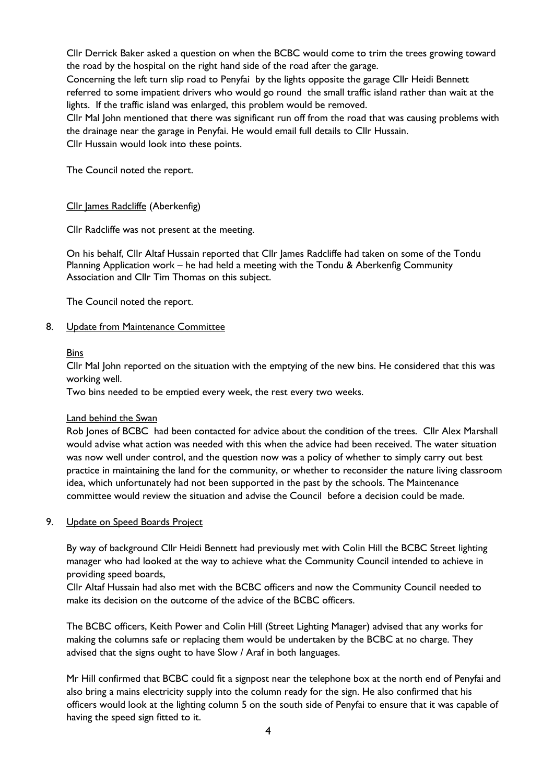Cllr Derrick Baker asked a question on when the BCBC would come to trim the trees growing toward the road by the hospital on the right hand side of the road after the garage.

Concerning the left turn slip road to Penyfai by the lights opposite the garage Cllr Heidi Bennett referred to some impatient drivers who would go round the small traffic island rather than wait at the lights. If the traffic island was enlarged, this problem would be removed.

Cllr Mal John mentioned that there was significant run off from the road that was causing problems with the drainage near the garage in Penyfai. He would email full details to Cllr Hussain.

Cllr Hussain would look into these points.

The Council noted the report.

## Cllr James Radcliffe (Aberkenfig)

Cllr Radcliffe was not present at the meeting.

On his behalf, Cllr Altaf Hussain reported that Cllr James Radcliffe had taken on some of the Tondu Planning Application work – he had held a meeting with the Tondu & Aberkenfig Community Association and Cllr Tim Thomas on this subject.

The Council noted the report.

## 8. Update from Maintenance Committee

## Bins

Cllr Mal John reported on the situation with the emptying of the new bins. He considered that this was working well.

Two bins needed to be emptied every week, the rest every two weeks.

#### Land behind the Swan

Rob Jones of BCBC had been contacted for advice about the condition of the trees. Cllr Alex Marshall would advise what action was needed with this when the advice had been received. The water situation was now well under control, and the question now was a policy of whether to simply carry out best practice in maintaining the land for the community, or whether to reconsider the nature living classroom idea, which unfortunately had not been supported in the past by the schools. The Maintenance committee would review the situation and advise the Council before a decision could be made.

#### 9. Update on Speed Boards Project

By way of background Cllr Heidi Bennett had previously met with Colin Hill the BCBC Street lighting manager who had looked at the way to achieve what the Community Council intended to achieve in providing speed boards,

Cllr Altaf Hussain had also met with the BCBC officers and now the Community Council needed to make its decision on the outcome of the advice of the BCBC officers.

The BCBC officers, Keith Power and Colin Hill (Street Lighting Manager) advised that any works for making the columns safe or replacing them would be undertaken by the BCBC at no charge. They advised that the signs ought to have Slow / Araf in both languages.

Mr Hill confirmed that BCBC could fit a signpost near the telephone box at the north end of Penyfai and also bring a mains electricity supply into the column ready for the sign. He also confirmed that his officers would look at the lighting column 5 on the south side of Penyfai to ensure that it was capable of having the speed sign fitted to it.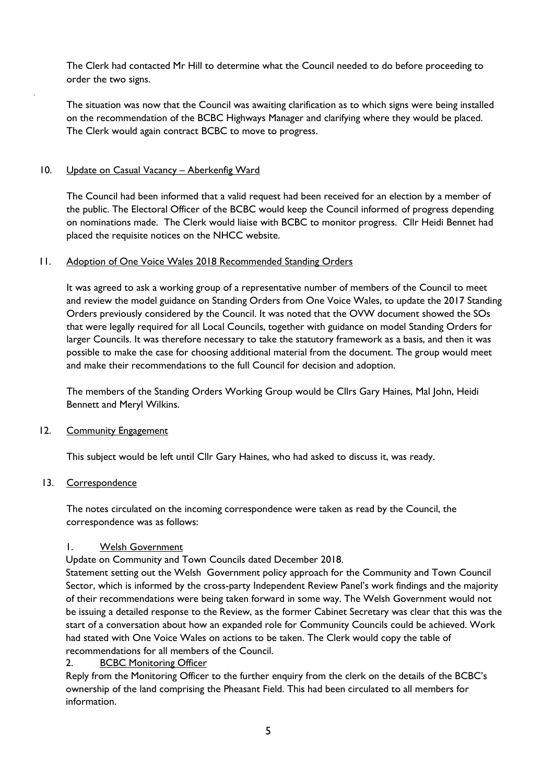The Clerk had contacted Mr Hill to determine what the Council needed to do before proceeding to order the two signs.

The situation was now that the Council was awaiting clarification as to which signs were being installed on the recommendation of the BCBC Highways Manager and clarifying where they would be placed. The Clerk would again contract BCBC to move to progress.

## 10. Update on Casual Vacancy - Aberkenfig Ward

.

The Council had been informed that a valid request had been received for an election by a member of the public. The Electoral Officer of the BCBC would keep the Council informed of progress depending on nominations made. The Clerk would liaise with BCBC to monitor progress. Cllr Heidi Bennet had placed the requisite notices on the NHCC website.

#### 11. Adoption of One Voice Wales 2018 Recommended Standing Orders

It was agreed to ask a working group of a representative number of members of the Council to meet and review the model guidance on Standing Orders from One Voice Wales, to update the 2017 Standing Orders previously considered by the Council. It was noted that the OVW document showed the SOs that were legally required for all Local Councils, together with guidance on model Standing Orders for larger Councils. It was therefore necessary to take the statutory framework as a basis, and then it was possible to make the case for choosing additional material from the document. The group would meet and make their recommendations to the full Council for decision and adoption.

The members of the Standing Orders Working Group would be Cllrs Gary Haines, Mal John, Heidi Bennett and Meryl Wilkins.

# 12. Community Engagement

This subject would be left until Cllr Gary Haines, who had asked to discuss it, was ready.

#### 13. Correspondence

The notes circulated on the incoming correspondence were taken as read by the Council, the correspondence was as follows:

## 1. Welsh Government

Update on Community and Town Councils dated December 2018.

Statement setting out the Welsh Government policy approach for the Community and Town Council Sector, which is informed by the cross-party Independent Review Panel's work findings and the majority of their recommendations were being taken forward in some way. The Welsh Government would not be issuing a detailed response to the Review, as the former Cabinet Secretary was clear that this was the start of a conversation about how an expanded role for Community Councils could be achieved. Work had stated with One Voice Wales on actions to be taken. The Clerk would copy the table of recommendations for all members of the Council.

# 2. BCBC Monitoring Officer

Reply from the Monitoring Officer to the further enquiry from the clerk on the details of the BCBC's ownership of the land comprising the Pheasant Field. This had been circulated to all members for information.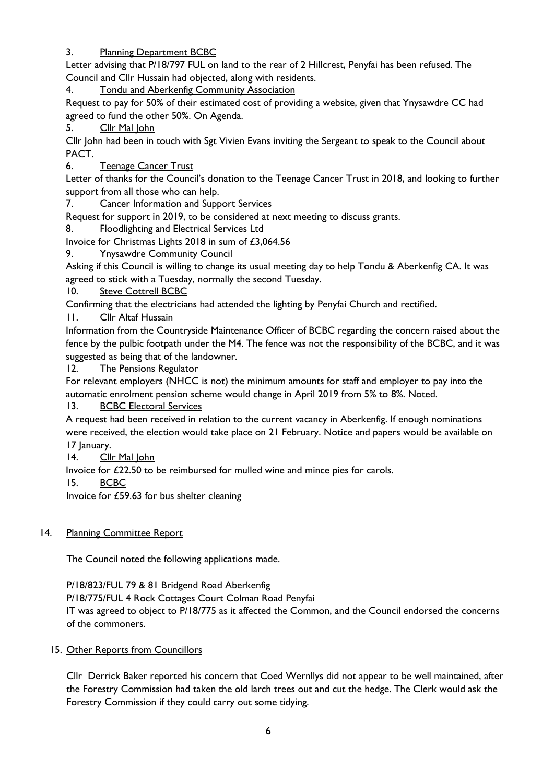# 3. Planning Department BCBC

Letter advising that P/18/797 FUL on land to the rear of 2 Hillcrest, Penyfai has been refused. The Council and Cllr Hussain had objected, along with residents.

4. Tondu and Aberkenfig Community Association

Request to pay for 50% of their estimated cost of providing a website, given that Ynysawdre CC had agreed to fund the other 50%. On Agenda.

5. Cllr Mal John

Cllr John had been in touch with Sgt Vivien Evans inviting the Sergeant to speak to the Council about PACT.

6. Teenage Cancer Trust

Letter of thanks for the Council's donation to the Teenage Cancer Trust in 2018, and looking to further support from all those who can help.

7. Cancer Information and Support Services

Request for support in 2019, to be considered at next meeting to discuss grants.

8. Floodlighting and Electrical Services Ltd

Invoice for Christmas Lights 2018 in sum of £3,064.56

9. Ynysawdre Community Council

Asking if this Council is willing to change its usual meeting day to help Tondu & Aberkenfig CA. It was agreed to stick with a Tuesday, normally the second Tuesday.

10. Steve Cottrell BCBC

Confirming that the electricians had attended the lighting by Penyfai Church and rectified.

11. Cllr Altaf Hussain

Information from the Countryside Maintenance Officer of BCBC regarding the concern raised about the fence by the pulbic footpath under the M4. The fence was not the responsibility of the BCBC, and it was suggested as being that of the landowner.

12. The Pensions Regulator

For relevant employers (NHCC is not) the minimum amounts for staff and employer to pay into the automatic enrolment pension scheme would change in April 2019 from 5% to 8%. Noted.

13. BCBC Electoral Services

A request had been received in relation to the current vacancy in Aberkenfig. If enough nominations were received, the election would take place on 21 February. Notice and papers would be available on 17 January.

14. Cllr Mal John

Invoice for £22.50 to be reimbursed for mulled wine and mince pies for carols.

15. BCBC

Invoice for £59.63 for bus shelter cleaning

# 14. Planning Committee Report

The Council noted the following applications made.

P/18/823/FUL 79 & 81 Bridgend Road Aberkenfig

P/18/775/FUL 4 Rock Cottages Court Colman Road Penyfai IT was agreed to object to P/18/775 as it affected the Common, and the Council endorsed the concerns of the commoners.

# 15. Other Reports from Councillors

Cllr Derrick Baker reported his concern that Coed Wernllys did not appear to be well maintained, after the Forestry Commission had taken the old larch trees out and cut the hedge. The Clerk would ask the Forestry Commission if they could carry out some tidying.